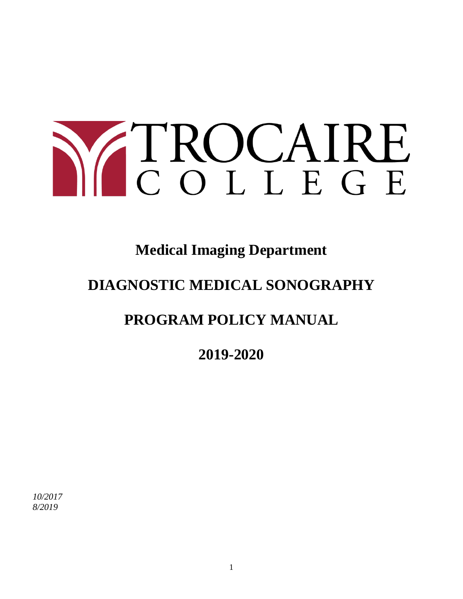# Y TROCAIRE

## **Medical Imaging Department**

## **DIAGNOSTIC MEDICAL SONOGRAPHY**

## **PROGRAM POLICY MANUAL**

**2019-2020**

*10/2017 8/2019*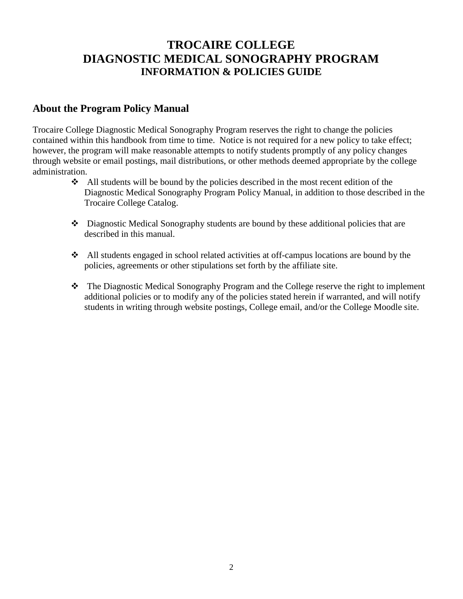### **TROCAIRE COLLEGE DIAGNOSTIC MEDICAL SONOGRAPHY PROGRAM INFORMATION & POLICIES GUIDE**

#### **About the Program Policy Manual**

Trocaire College Diagnostic Medical Sonography Program reserves the right to change the policies contained within this handbook from time to time. Notice is not required for a new policy to take effect; however, the program will make reasonable attempts to notify students promptly of any policy changes through website or email postings, mail distributions, or other methods deemed appropriate by the college administration.

- $\triangleleft$  All students will be bound by the policies described in the most recent edition of the Diagnostic Medical Sonography Program Policy Manual, in addition to those described in the Trocaire College Catalog.
- Diagnostic Medical Sonography students are bound by these additional policies that are described in this manual.
- All students engaged in school related activities at off-campus locations are bound by the policies, agreements or other stipulations set forth by the affiliate site.
- The Diagnostic Medical Sonography Program and the College reserve the right to implement additional policies or to modify any of the policies stated herein if warranted, and will notify students in writing through website postings, College email, and/or the College Moodle site.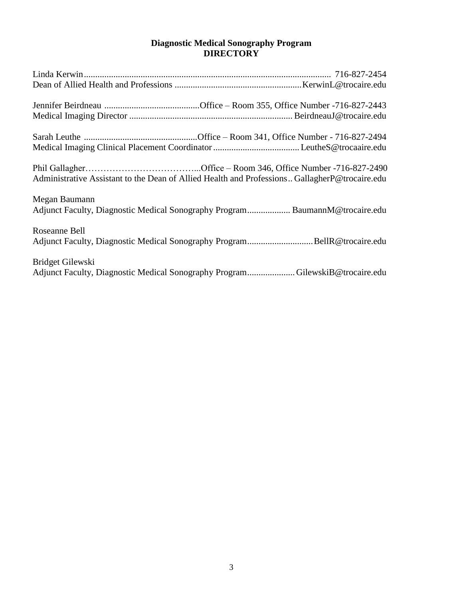#### **Diagnostic Medical Sonography Program DIRECTORY**

| Administrative Assistant to the Dean of Allied Health and Professions GallagherP@trocaire.edu    |
|--------------------------------------------------------------------------------------------------|
| Megan Baumann<br>Adjunct Faculty, Diagnostic Medical Sonography Program BaumannM@trocaire.edu    |
| Roseanne Bell                                                                                    |
| Bridget Gilewski<br>Adjunct Faculty, Diagnostic Medical Sonography ProgramGilewskiB@trocaire.edu |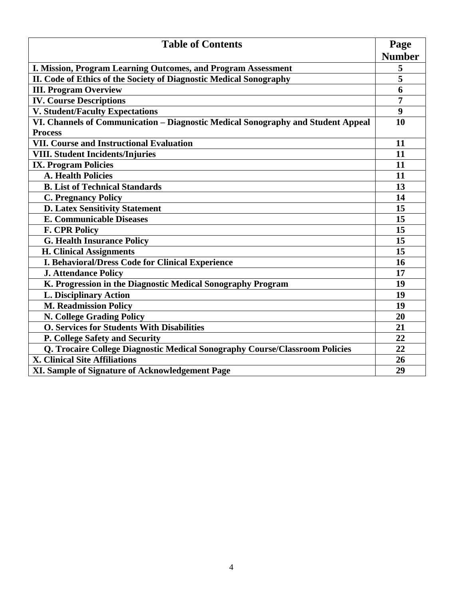| <b>Table of Contents</b>                                                         |                       |  |
|----------------------------------------------------------------------------------|-----------------------|--|
|                                                                                  | Page<br><b>Number</b> |  |
| I. Mission, Program Learning Outcomes, and Program Assessment                    | 5                     |  |
| II. Code of Ethics of the Society of Diagnostic Medical Sonography               | 5                     |  |
| <b>III. Program Overview</b>                                                     | 6                     |  |
| <b>IV. Course Descriptions</b>                                                   | $\overline{7}$        |  |
| <b>V. Student/Faculty Expectations</b>                                           | 9                     |  |
| VI. Channels of Communication - Diagnostic Medical Sonography and Student Appeal | 10                    |  |
| <b>Process</b>                                                                   |                       |  |
| <b>VII. Course and Instructional Evaluation</b>                                  | 11                    |  |
| <b>VIII. Student Incidents/Injuries</b>                                          | 11                    |  |
| <b>IX. Program Policies</b>                                                      | 11                    |  |
| <b>A. Health Policies</b>                                                        | 11                    |  |
| <b>B.</b> List of Technical Standards                                            | 13                    |  |
| <b>C. Pregnancy Policy</b>                                                       | 14                    |  |
| <b>D. Latex Sensitivity Statement</b>                                            |                       |  |
| <b>E. Communicable Diseases</b>                                                  |                       |  |
| <b>F. CPR Policy</b>                                                             | 15                    |  |
| <b>G. Health Insurance Policy</b>                                                | 15                    |  |
| <b>H. Clinical Assignments</b>                                                   | 15                    |  |
| I. Behavioral/Dress Code for Clinical Experience                                 |                       |  |
| <b>J. Attendance Policy</b>                                                      | 17                    |  |
| K. Progression in the Diagnostic Medical Sonography Program                      | 19                    |  |
| <b>L. Disciplinary Action</b>                                                    | 19                    |  |
| <b>M. Readmission Policy</b>                                                     | 19                    |  |
| N. College Grading Policy                                                        |                       |  |
| <b>O. Services for Students With Disabilities</b>                                | 21                    |  |
| P. College Safety and Security                                                   |                       |  |
| Q. Trocaire College Diagnostic Medical Sonography Course/Classroom Policies      | 22                    |  |
| <b>X. Clinical Site Affiliations</b>                                             |                       |  |
| XI. Sample of Signature of Acknowledgement Page                                  | 29                    |  |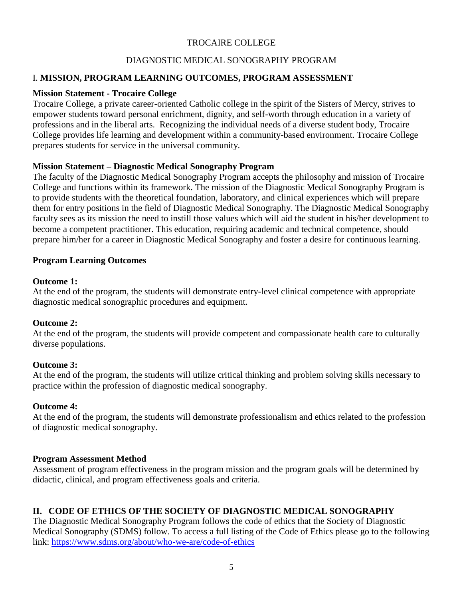#### TROCAIRE COLLEGE

#### DIAGNOSTIC MEDICAL SONOGRAPHY PROGRAM

#### I. **MISSION, PROGRAM LEARNING OUTCOMES, PROGRAM ASSESSMENT**

#### **Mission Statement - Trocaire College**

Trocaire College, a private career-oriented Catholic college in the spirit of the Sisters of Mercy, strives to empower students toward personal enrichment, dignity, and self-worth through education in a variety of professions and in the liberal arts. Recognizing the individual needs of a diverse student body, Trocaire College provides life learning and development within a community-based environment. Trocaire College prepares students for service in the universal community.

#### **Mission Statement – Diagnostic Medical Sonography Program**

The faculty of the Diagnostic Medical Sonography Program accepts the philosophy and mission of Trocaire College and functions within its framework. The mission of the Diagnostic Medical Sonography Program is to provide students with the theoretical foundation, laboratory, and clinical experiences which will prepare them for entry positions in the field of Diagnostic Medical Sonography. The Diagnostic Medical Sonography faculty sees as its mission the need to instill those values which will aid the student in his/her development to become a competent practitioner. This education, requiring academic and technical competence, should prepare him/her for a career in Diagnostic Medical Sonography and foster a desire for continuous learning.

#### **Program Learning Outcomes**

#### **Outcome 1:**

At the end of the program, the students will demonstrate entry-level clinical competence with appropriate diagnostic medical sonographic procedures and equipment.

#### **Outcome 2:**

At the end of the program, the students will provide competent and compassionate health care to culturally diverse populations.

#### **Outcome 3:**

At the end of the program, the students will utilize critical thinking and problem solving skills necessary to practice within the profession of diagnostic medical sonography.

#### **Outcome 4:**

At the end of the program, the students will demonstrate professionalism and ethics related to the profession of diagnostic medical sonography.

#### **Program Assessment Method**

Assessment of program effectiveness in the program mission and the program goals will be determined by didactic, clinical, and program effectiveness goals and criteria.

#### **II. CODE OF ETHICS OF THE SOCIETY OF DIAGNOSTIC MEDICAL SONOGRAPHY**

The Diagnostic Medical Sonography Program follows the code of ethics that the Society of Diagnostic Medical Sonography (SDMS) follow. To access a full listing of the Code of Ethics please go to the following link:<https://www.sdms.org/about/who-we-are/code-of-ethics>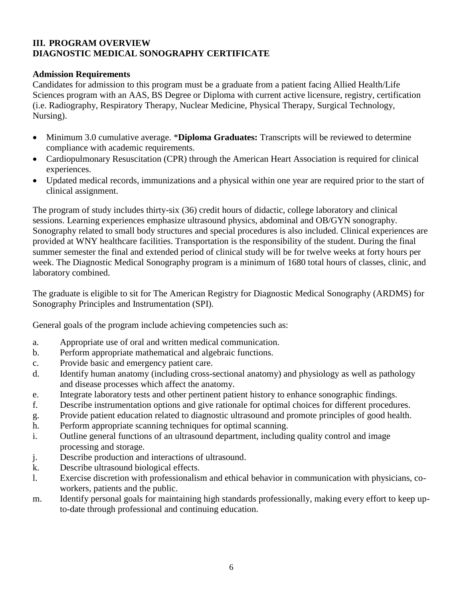#### **III. PROGRAM OVERVIEW DIAGNOSTIC MEDICAL SONOGRAPHY CERTIFICATE**

#### **Admission Requirements**

Candidates for admission to this program must be a graduate from a patient facing Allied Health/Life Sciences program with an AAS, BS Degree or Diploma with current active licensure, registry, certification (i.e. Radiography, Respiratory Therapy, Nuclear Medicine, Physical Therapy, Surgical Technology, Nursing).

- Minimum 3.0 cumulative average. \***Diploma Graduates:** Transcripts will be reviewed to determine compliance with academic requirements.
- Cardiopulmonary Resuscitation (CPR) through the American Heart Association is required for clinical experiences.
- Updated medical records, immunizations and a physical within one year are required prior to the start of clinical assignment.

The program of study includes thirty-six (36) credit hours of didactic, college laboratory and clinical sessions. Learning experiences emphasize ultrasound physics, abdominal and OB/GYN sonography. Sonography related to small body structures and special procedures is also included. Clinical experiences are provided at WNY healthcare facilities. Transportation is the responsibility of the student. During the final summer semester the final and extended period of clinical study will be for twelve weeks at forty hours per week. The Diagnostic Medical Sonography program is a minimum of 1680 total hours of classes, clinic, and laboratory combined.

The graduate is eligible to sit for The American Registry for Diagnostic Medical Sonography (ARDMS) for Sonography Principles and Instrumentation (SPI).

General goals of the program include achieving competencies such as:

- a. Appropriate use of oral and written medical communication.
- b. Perform appropriate mathematical and algebraic functions.
- c. Provide basic and emergency patient care.
- d. Identify human anatomy (including cross-sectional anatomy) and physiology as well as pathology and disease processes which affect the anatomy.
- e. Integrate laboratory tests and other pertinent patient history to enhance sonographic findings.
- f. Describe instrumentation options and give rationale for optimal choices for different procedures.
- g. Provide patient education related to diagnostic ultrasound and promote principles of good health.
- h. Perform appropriate scanning techniques for optimal scanning.
- i. Outline general functions of an ultrasound department, including quality control and image processing and storage.
- j. Describe production and interactions of ultrasound.
- k. Describe ultrasound biological effects.
- l. Exercise discretion with professionalism and ethical behavior in communication with physicians, coworkers, patients and the public.
- m. Identify personal goals for maintaining high standards professionally, making every effort to keep upto-date through professional and continuing education.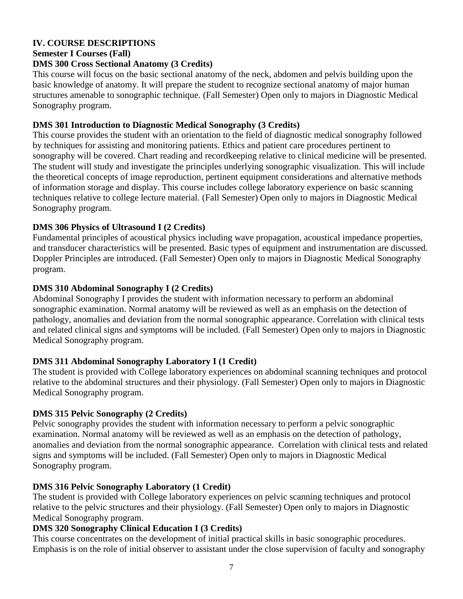#### **IV. COURSE DESCRIPTIONS**

#### **Semester I Courses (Fall)**

#### **DMS 300 Cross Sectional Anatomy (3 Credits)**

This course will focus on the basic sectional anatomy of the neck, abdomen and pelvis building upon the basic knowledge of anatomy. It will prepare the student to recognize sectional anatomy of major human structures amenable to sonographic technique. (Fall Semester) Open only to majors in Diagnostic Medical Sonography program.

#### **DMS 301 Introduction to Diagnostic Medical Sonography (3 Credits)**

This course provides the student with an orientation to the field of diagnostic medical sonography followed by techniques for assisting and monitoring patients. Ethics and patient care procedures pertinent to sonography will be covered. Chart reading and recordkeeping relative to clinical medicine will be presented. The student will study and investigate the principles underlying sonographic visualization. This will include the theoretical concepts of image reproduction, pertinent equipment considerations and alternative methods of information storage and display. This course includes college laboratory experience on basic scanning techniques relative to college lecture material. (Fall Semester) Open only to majors in Diagnostic Medical Sonography program.

#### **DMS 306 Physics of Ultrasound I (2 Credits)**

Fundamental principles of acoustical physics including wave propagation, acoustical impedance properties, and transducer characteristics will be presented. Basic types of equipment and instrumentation are discussed. Doppler Principles are introduced. (Fall Semester) Open only to majors in Diagnostic Medical Sonography program.

#### **DMS 310 Abdominal Sonography I (2 Credits)**

Abdominal Sonography I provides the student with information necessary to perform an abdominal sonographic examination. Normal anatomy will be reviewed as well as an emphasis on the detection of pathology, anomalies and deviation from the normal sonographic appearance. Correlation with clinical tests and related clinical signs and symptoms will be included. (Fall Semester) Open only to majors in Diagnostic Medical Sonography program.

#### **DMS 311 Abdominal Sonography Laboratory I (1 Credit)**

The student is provided with College laboratory experiences on abdominal scanning techniques and protocol relative to the abdominal structures and their physiology. (Fall Semester) Open only to majors in Diagnostic Medical Sonography program.

#### **DMS 315 Pelvic Sonography (2 Credits)**

Pelvic sonography provides the student with information necessary to perform a pelvic sonographic examination. Normal anatomy will be reviewed as well as an emphasis on the detection of pathology, anomalies and deviation from the normal sonographic appearance. Correlation with clinical tests and related signs and symptoms will be included. (Fall Semester) Open only to majors in Diagnostic Medical Sonography program.

#### **DMS 316 Pelvic Sonography Laboratory (1 Credit)**

The student is provided with College laboratory experiences on pelvic scanning techniques and protocol relative to the pelvic structures and their physiology. (Fall Semester) Open only to majors in Diagnostic Medical Sonography program.

#### **DMS 320 Sonography Clinical Education I (3 Credits)**

This course concentrates on the development of initial practical skills in basic sonographic procedures. Emphasis is on the role of initial observer to assistant under the close supervision of faculty and sonography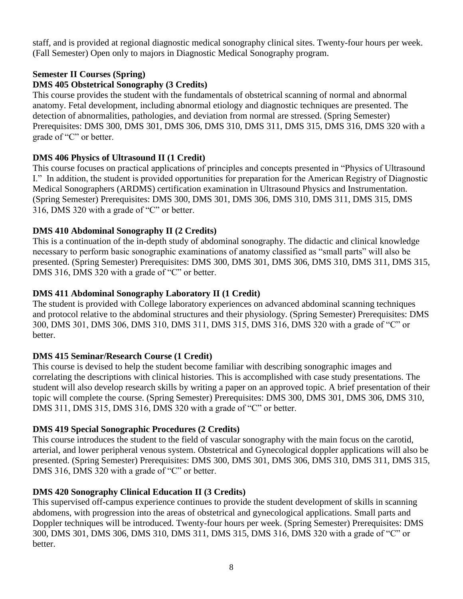staff, and is provided at regional diagnostic medical sonography clinical sites. Twenty-four hours per week. (Fall Semester) Open only to majors in Diagnostic Medical Sonography program.

#### **Semester II Courses (Spring)**

#### **DMS 405 Obstetrical Sonography (3 Credits)**

This course provides the student with the fundamentals of obstetrical scanning of normal and abnormal anatomy. Fetal development, including abnormal etiology and diagnostic techniques are presented. The detection of abnormalities, pathologies, and deviation from normal are stressed. (Spring Semester) Prerequisites: DMS 300, DMS 301, DMS 306, DMS 310, DMS 311, DMS 315, DMS 316, DMS 320 with a grade of "C" or better.

#### **DMS 406 Physics of Ultrasound II (1 Credit)**

This course focuses on practical applications of principles and concepts presented in "Physics of Ultrasound I." In addition, the student is provided opportunities for preparation for the American Registry of Diagnostic Medical Sonographers (ARDMS) certification examination in Ultrasound Physics and Instrumentation. (Spring Semester) Prerequisites: DMS 300, DMS 301, DMS 306, DMS 310, DMS 311, DMS 315, DMS 316, DMS 320 with a grade of "C" or better.

#### **DMS 410 Abdominal Sonography II (2 Credits)**

This is a continuation of the in-depth study of abdominal sonography. The didactic and clinical knowledge necessary to perform basic sonographic examinations of anatomy classified as "small parts" will also be presented. (Spring Semester) Prerequisites: DMS 300, DMS 301, DMS 306, DMS 310, DMS 311, DMS 315, DMS 316, DMS 320 with a grade of "C" or better.

#### **DMS 411 Abdominal Sonography Laboratory II (1 Credit)**

The student is provided with College laboratory experiences on advanced abdominal scanning techniques and protocol relative to the abdominal structures and their physiology. (Spring Semester) Prerequisites: DMS 300, DMS 301, DMS 306, DMS 310, DMS 311, DMS 315, DMS 316, DMS 320 with a grade of "C" or better.

#### **DMS 415 Seminar/Research Course (1 Credit)**

This course is devised to help the student become familiar with describing sonographic images and correlating the descriptions with clinical histories. This is accomplished with case study presentations. The student will also develop research skills by writing a paper on an approved topic. A brief presentation of their topic will complete the course. (Spring Semester) Prerequisites: DMS 300, DMS 301, DMS 306, DMS 310, DMS 311, DMS 315, DMS 316, DMS 320 with a grade of "C" or better.

#### **DMS 419 Special Sonographic Procedures (2 Credits)**

This course introduces the student to the field of vascular sonography with the main focus on the carotid, arterial, and lower peripheral venous system. Obstetrical and Gynecological doppler applications will also be presented. (Spring Semester) Prerequisites: DMS 300, DMS 301, DMS 306, DMS 310, DMS 311, DMS 315, DMS 316, DMS 320 with a grade of "C" or better.

#### **DMS 420 Sonography Clinical Education II (3 Credits)**

This supervised off-campus experience continues to provide the student development of skills in scanning abdomens, with progression into the areas of obstetrical and gynecological applications. Small parts and Doppler techniques will be introduced. Twenty-four hours per week. (Spring Semester) Prerequisites: DMS 300, DMS 301, DMS 306, DMS 310, DMS 311, DMS 315, DMS 316, DMS 320 with a grade of "C" or better.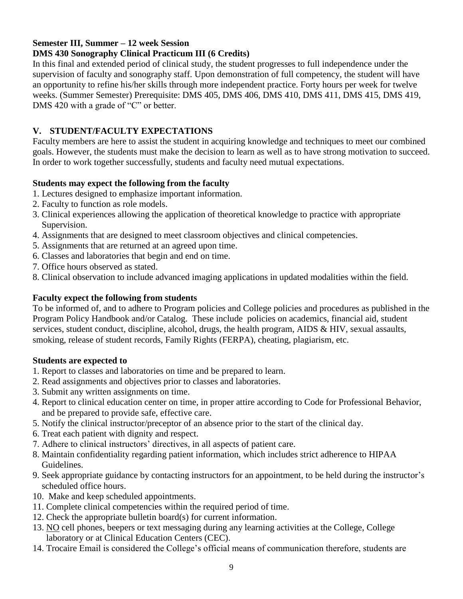#### **Semester III, Summer – 12 week Session**

#### **DMS 430 Sonography Clinical Practicum III (6 Credits)**

In this final and extended period of clinical study, the student progresses to full independence under the supervision of faculty and sonography staff. Upon demonstration of full competency, the student will have an opportunity to refine his/her skills through more independent practice. Forty hours per week for twelve weeks. (Summer Semester) Prerequisite: DMS 405, DMS 406, DMS 410, DMS 411, DMS 415, DMS 419, DMS 420 with a grade of "C" or better.

#### **V. STUDENT/FACULTY EXPECTATIONS**

Faculty members are here to assist the student in acquiring knowledge and techniques to meet our combined goals. However, the students must make the decision to learn as well as to have strong motivation to succeed. In order to work together successfully, students and faculty need mutual expectations.

#### **Students may expect the following from the faculty**

- 1. Lectures designed to emphasize important information.
- 2. Faculty to function as role models.
- 3. Clinical experiences allowing the application of theoretical knowledge to practice with appropriate Supervision.
- 4. Assignments that are designed to meet classroom objectives and clinical competencies.
- 5. Assignments that are returned at an agreed upon time.
- 6. Classes and laboratories that begin and end on time.
- 7. Office hours observed as stated.
- 8. Clinical observation to include advanced imaging applications in updated modalities within the field.

#### **Faculty expect the following from students**

To be informed of, and to adhere to Program policies and College policies and procedures as published in the Program Policy Handbook and/or Catalog. These include policies on academics, financial aid, student services, student conduct, discipline, alcohol, drugs, the health program, AIDS & HIV, sexual assaults, smoking, release of student records, Family Rights (FERPA), cheating, plagiarism, etc.

#### **Students are expected to**

- 1. Report to classes and laboratories on time and be prepared to learn.
- 2. Read assignments and objectives prior to classes and laboratories.
- 3. Submit any written assignments on time.
- 4. Report to clinical education center on time, in proper attire according to Code for Professional Behavior, and be prepared to provide safe, effective care.
- 5. Notify the clinical instructor/preceptor of an absence prior to the start of the clinical day.
- 6. Treat each patient with dignity and respect.
- 7. Adhere to clinical instructors' directives, in all aspects of patient care.
- 8. Maintain confidentiality regarding patient information, which includes strict adherence to HIPAA Guidelines.
- 9. Seek appropriate guidance by contacting instructors for an appointment, to be held during the instructor's scheduled office hours.
- 10. Make and keep scheduled appointments.
- 11. Complete clinical competencies within the required period of time.
- 12. Check the appropriate bulletin board(s) for current information.
- 13. NO cell phones, beepers or text messaging during any learning activities at the College, College laboratory or at Clinical Education Centers (CEC).
- 14. Trocaire Email is considered the College's official means of communication therefore, students are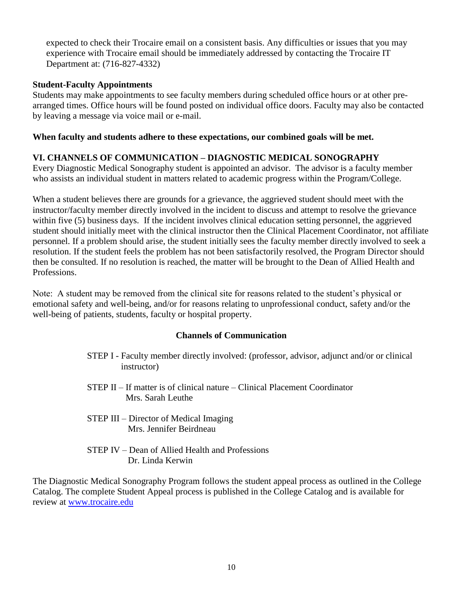expected to check their Trocaire email on a consistent basis. Any difficulties or issues that you may experience with Trocaire email should be immediately addressed by contacting the Trocaire IT Department at: (716-827-4332)

#### **Student-Faculty Appointments**

Students may make appointments to see faculty members during scheduled office hours or at other prearranged times. Office hours will be found posted on individual office doors. Faculty may also be contacted by leaving a message via voice mail or e-mail.

#### **When faculty and students adhere to these expectations, our combined goals will be met.**

#### **VI. CHANNELS OF COMMUNICATION – DIAGNOSTIC MEDICAL SONOGRAPHY**

Every Diagnostic Medical Sonography student is appointed an advisor. The advisor is a faculty member who assists an individual student in matters related to academic progress within the Program/College.

When a student believes there are grounds for a grievance, the aggrieved student should meet with the instructor/faculty member directly involved in the incident to discuss and attempt to resolve the grievance within five (5) business days. If the incident involves clinical education setting personnel, the aggrieved student should initially meet with the clinical instructor then the Clinical Placement Coordinator, not affiliate personnel. If a problem should arise, the student initially sees the faculty member directly involved to seek a resolution. If the student feels the problem has not been satisfactorily resolved, the Program Director should then be consulted. If no resolution is reached, the matter will be brought to the Dean of Allied Health and Professions.

Note: A student may be removed from the clinical site for reasons related to the student's physical or emotional safety and well-being, and/or for reasons relating to unprofessional conduct, safety and/or the well-being of patients, students, faculty or hospital property.

#### **Channels of Communication**

- STEP I Faculty member directly involved: (professor, advisor, adjunct and/or or clinical instructor)
- STEP II If matter is of clinical nature Clinical Placement Coordinator Mrs. Sarah Leuthe
- STEP III Director of Medical Imaging Mrs. Jennifer Beirdneau
- STEP IV Dean of Allied Health and Professions Dr. Linda Kerwin

The Diagnostic Medical Sonography Program follows the student appeal process as outlined in the College Catalog. The complete Student Appeal process is published in the College Catalog and is available for review at [www.trocaire.edu](http://www.trocaire.edu/)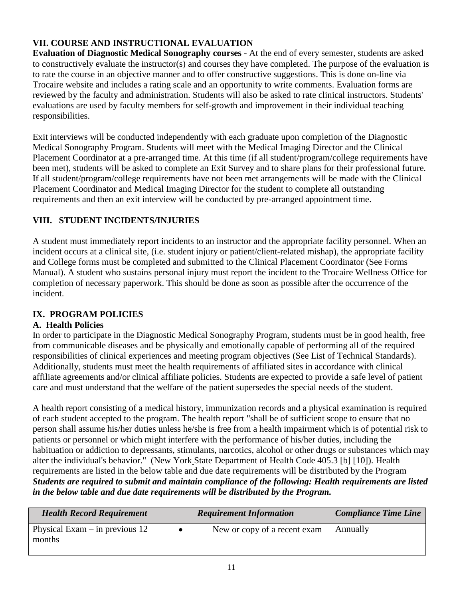#### **VII. COURSE AND INSTRUCTIONAL EVALUATION**

**Evaluation of Diagnostic Medical Sonography courses** - At the end of every semester, students are asked to constructively evaluate the instructor(s) and courses they have completed. The purpose of the evaluation is to rate the course in an objective manner and to offer constructive suggestions. This is done on-line via Trocaire website and includes a rating scale and an opportunity to write comments. Evaluation forms are reviewed by the faculty and administration. Students will also be asked to rate clinical instructors. Students' evaluations are used by faculty members for self-growth and improvement in their individual teaching responsibilities.

Exit interviews will be conducted independently with each graduate upon completion of the Diagnostic Medical Sonography Program. Students will meet with the Medical Imaging Director and the Clinical Placement Coordinator at a pre-arranged time. At this time (if all student/program/college requirements have been met), students will be asked to complete an Exit Survey and to share plans for their professional future. If all student/program/college requirements have not been met arrangements will be made with the Clinical Placement Coordinator and Medical Imaging Director for the student to complete all outstanding requirements and then an exit interview will be conducted by pre-arranged appointment time.

#### **VIII. STUDENT INCIDENTS/INJURIES**

A student must immediately report incidents to an instructor and the appropriate facility personnel. When an incident occurs at a clinical site, (i.e. student injury or patient/client-related mishap), the appropriate facility and College forms must be completed and submitted to the Clinical Placement Coordinator (See Forms Manual). A student who sustains personal injury must report the incident to the Trocaire Wellness Office for completion of necessary paperwork. This should be done as soon as possible after the occurrence of the incident.

#### **IX. PROGRAM POLICIES**

#### **A. Health Policies**

In order to participate in the Diagnostic Medical Sonography Program, students must be in good health, free from communicable diseases and be physically and emotionally capable of performing all of the required responsibilities of clinical experiences and meeting program objectives (See List of Technical Standards). Additionally, students must meet the health requirements of affiliated sites in accordance with clinical affiliate agreements and/or clinical affiliate policies. Students are expected to provide a safe level of patient care and must understand that the welfare of the patient supersedes the special needs of the student.

A health report consisting of a medical history, immunization records and a physical examination is required of each student accepted to the program. The health report "shall be of sufficient scope to ensure that no person shall assume his/her duties unless he/she is free from a health impairment which is of potential risk to patients or personnel or which might interfere with the performance of his/her duties, including the habituation or addiction to depressants, stimulants, narcotics, alcohol or other drugs or substances which may alter the individual's behavior." (New York State Department of Health Code 405.3 [b] [10]). Health requirements are listed in the below table and due date requirements will be distributed by the Program *Students are required to submit and maintain compliance of the following: Health requirements are listed in the below table and due date requirements will be distributed by the Program.* 

| <b>Health Record Requirement</b>           | <b>Requirement Information</b> | <b>Compliance Time Line</b> |
|--------------------------------------------|--------------------------------|-----------------------------|
| Physical Exam $-$ in previous 12<br>months | New or copy of a recent exam   | Annually                    |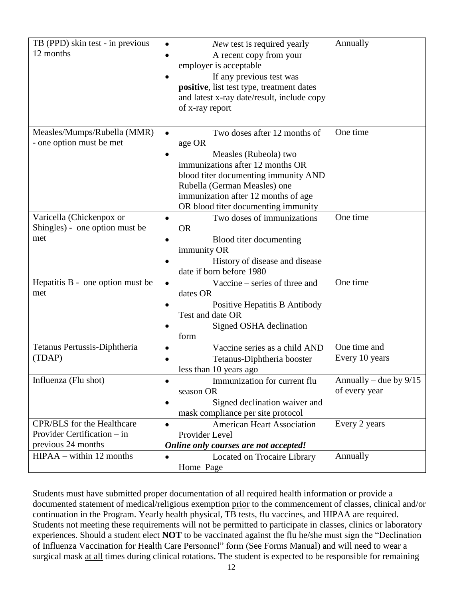| TB (PPD) skin test - in previous  | New test is required yearly                               | Annually                 |
|-----------------------------------|-----------------------------------------------------------|--------------------------|
| 12 months                         | A recent copy from your                                   |                          |
|                                   | employer is acceptable                                    |                          |
|                                   | If any previous test was                                  |                          |
|                                   | positive, list test type, treatment dates                 |                          |
|                                   | and latest x-ray date/result, include copy                |                          |
|                                   | of x-ray report                                           |                          |
|                                   |                                                           |                          |
| Measles/Mumps/Rubella (MMR)       | Two doses after 12 months of<br>$\bullet$                 | One time                 |
| - one option must be met          | age OR                                                    |                          |
|                                   |                                                           |                          |
|                                   | Measles (Rubeola) two<br>immunizations after 12 months OR |                          |
|                                   | blood titer documenting immunity AND                      |                          |
|                                   | Rubella (German Measles) one                              |                          |
|                                   | immunization after 12 months of age                       |                          |
|                                   | OR blood titer documenting immunity                       |                          |
| Varicella (Chickenpox or          | Two doses of immunizations<br>$\bullet$                   | One time                 |
| Shingles) - one option must be    | <b>OR</b>                                                 |                          |
| met                               | Blood titer documenting                                   |                          |
|                                   | immunity OR                                               |                          |
|                                   | History of disease and disease                            |                          |
|                                   | date if born before 1980                                  |                          |
| Hepatitis B - one option must be  | Vaccine – series of three and<br>$\bullet$                | One time                 |
| met                               | dates OR                                                  |                          |
|                                   | Positive Hepatitis B Antibody                             |                          |
|                                   | Test and date OR                                          |                          |
|                                   | Signed OSHA declination                                   |                          |
|                                   | form                                                      |                          |
| Tetanus Pertussis-Diphtheria      | Vaccine series as a child AND<br>$\bullet$                | One time and             |
| (TDAP)                            | Tetanus-Diphtheria booster                                | Every 10 years           |
|                                   | less than 10 years ago                                    |                          |
| Influenza (Flu shot)              | Immunization for current flu                              | Annually – due by $9/15$ |
|                                   | season OR                                                 | of every year            |
|                                   | Signed declination waiver and<br>٠                        |                          |
|                                   | mask compliance per site protocol                         |                          |
| <b>CPR/BLS</b> for the Healthcare | <b>American Heart Association</b><br>$\bullet$            | Every 2 years            |
| Provider Certification - in       | Provider Level                                            |                          |
| previous 24 months                | Online only courses are not accepted!                     |                          |
| $HIPAA - within 12 months$        | Located on Trocaire Library<br>$\bullet$                  | Annually                 |
|                                   | Home Page                                                 |                          |
|                                   |                                                           |                          |

Students must have submitted proper documentation of all required health information or provide a documented statement of medical/religious exemption prior to the commencement of classes, clinical and/or continuation in the Program. Yearly health physical, TB tests, flu vaccines, and HIPAA are required. Students not meeting these requirements will not be permitted to participate in classes, clinics or laboratory experiences. Should a student elect **NOT** to be vaccinated against the flu he/she must sign the "Declination of Influenza Vaccination for Health Care Personnel" form (See Forms Manual) and will need to wear a surgical mask at all times during clinical rotations. The student is expected to be responsible for remaining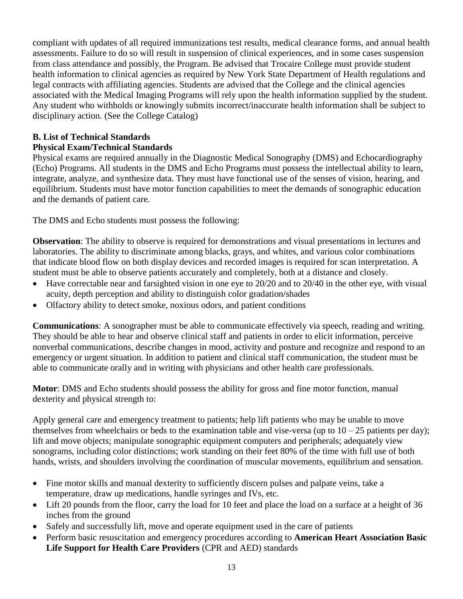compliant with updates of all required immunizations test results, medical clearance forms, and annual health assessments. Failure to do so will result in suspension of clinical experiences, and in some cases suspension from class attendance and possibly, the Program. Be advised that Trocaire College must provide student health information to clinical agencies as required by New York State Department of Health regulations and legal contracts with affiliating agencies. Students are advised that the College and the clinical agencies associated with the Medical Imaging Programs will rely upon the health information supplied by the student. Any student who withholds or knowingly submits incorrect/inaccurate health information shall be subject to disciplinary action. (See the College Catalog)

## **B. List of Technical Standards**

#### **Physical Exam/Technical Standards**

Physical exams are required annually in the Diagnostic Medical Sonography (DMS) and Echocardiography (Echo) Programs. All students in the DMS and Echo Programs must possess the intellectual ability to learn, integrate, analyze, and synthesize data. They must have functional use of the senses of vision, hearing, and equilibrium. Students must have motor function capabilities to meet the demands of sonographic education and the demands of patient care.

The DMS and Echo students must possess the following:

**Observation**: The ability to observe is required for demonstrations and visual presentations in lectures and laboratories. The ability to discriminate among blacks, grays, and whites, and various color combinations that indicate blood flow on both display devices and recorded images is required for scan interpretation. A student must be able to observe patients accurately and completely, both at a distance and closely.

- $\bullet$  Have correctable near and farsighted vision in one eye to 20/20 and to 20/40 in the other eye, with visual acuity, depth perception and ability to distinguish color gradation/shades
- Olfactory ability to detect smoke, noxious odors, and patient conditions

**Communications**: A sonographer must be able to communicate effectively via speech, reading and writing. They should be able to hear and observe clinical staff and patients in order to elicit information, perceive nonverbal communications, describe changes in mood, activity and posture and recognize and respond to an emergency or urgent situation. In addition to patient and clinical staff communication, the student must be able to communicate orally and in writing with physicians and other health care professionals.

**Motor**: DMS and Echo students should possess the ability for gross and fine motor function, manual dexterity and physical strength to:

Apply general care and emergency treatment to patients; help lift patients who may be unable to move themselves from wheelchairs or beds to the examination table and vise-versa (up to  $10 - 25$  patients per day); lift and move objects; manipulate sonographic equipment computers and peripherals; adequately view sonograms, including color distinctions; work standing on their feet 80% of the time with full use of both hands, wrists, and shoulders involving the coordination of muscular movements, equilibrium and sensation.

- Fine motor skills and manual dexterity to sufficiently discern pulses and palpate veins, take a temperature, draw up medications, handle syringes and IVs, etc.
- Lift 20 pounds from the floor, carry the load for 10 feet and place the load on a surface at a height of 36 inches from the ground
- Safely and successfully lift, move and operate equipment used in the care of patients
- Perform basic resuscitation and emergency procedures according to **American Heart Association Basic Life Support for Health Care Providers** (CPR and AED) standards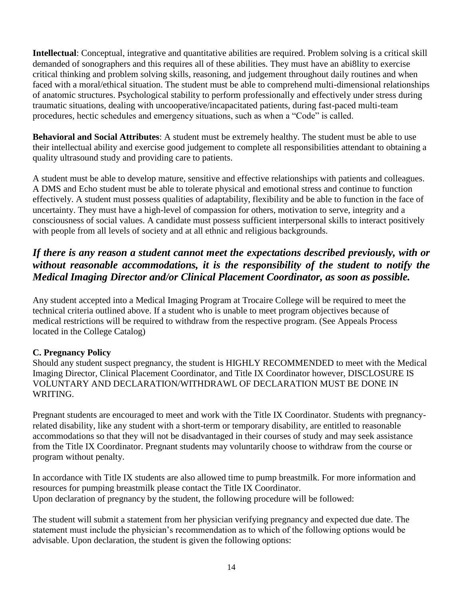**Intellectual**: Conceptual, integrative and quantitative abilities are required. Problem solving is a critical skill demanded of sonographers and this requires all of these abilities. They must have an abi8lity to exercise critical thinking and problem solving skills, reasoning, and judgement throughout daily routines and when faced with a moral/ethical situation. The student must be able to comprehend multi-dimensional relationships of anatomic structures. Psychological stability to perform professionally and effectively under stress during traumatic situations, dealing with uncooperative/incapacitated patients, during fast-paced multi-team procedures, hectic schedules and emergency situations, such as when a "Code" is called.

**Behavioral and Social Attributes**: A student must be extremely healthy. The student must be able to use their intellectual ability and exercise good judgement to complete all responsibilities attendant to obtaining a quality ultrasound study and providing care to patients.

A student must be able to develop mature, sensitive and effective relationships with patients and colleagues. A DMS and Echo student must be able to tolerate physical and emotional stress and continue to function effectively. A student must possess qualities of adaptability, flexibility and be able to function in the face of uncertainty. They must have a high-level of compassion for others, motivation to serve, integrity and a consciousness of social values. A candidate must possess sufficient interpersonal skills to interact positively with people from all levels of society and at all ethnic and religious backgrounds.

#### *If there is any reason a student cannot meet the expectations described previously, with or without reasonable accommodations, it is the responsibility of the student to notify the Medical Imaging Director and/or Clinical Placement Coordinator, as soon as possible.*

Any student accepted into a Medical Imaging Program at Trocaire College will be required to meet the technical criteria outlined above. If a student who is unable to meet program objectives because of medical restrictions will be required to withdraw from the respective program. (See Appeals Process located in the College Catalog)

#### **C. Pregnancy Policy**

Should any student suspect pregnancy, the student is HIGHLY RECOMMENDED to meet with the Medical Imaging Director, Clinical Placement Coordinator, and Title IX Coordinator however, DISCLOSURE IS VOLUNTARY AND DECLARATION/WITHDRAWL OF DECLARATION MUST BE DONE IN WRITING.

Pregnant students are encouraged to meet and work with the Title IX Coordinator. Students with pregnancyrelated disability, like any student with a short-term or temporary disability, are entitled to reasonable accommodations so that they will not be disadvantaged in their courses of study and may seek assistance from the Title IX Coordinator. Pregnant students may voluntarily choose to withdraw from the course or program without penalty.

In accordance with Title IX students are also allowed time to pump breastmilk. For more information and resources for pumping breastmilk please contact the Title IX Coordinator. Upon declaration of pregnancy by the student, the following procedure will be followed:

The student will submit a statement from her physician verifying pregnancy and expected due date. The statement must include the physician's recommendation as to which of the following options would be advisable. Upon declaration, the student is given the following options: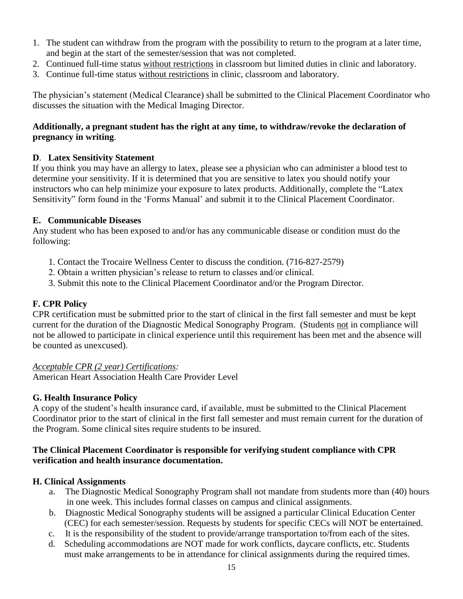- 1. The student can withdraw from the program with the possibility to return to the program at a later time, and begin at the start of the semester/session that was not completed.
- 2. Continued full-time status without restrictions in classroom but limited duties in clinic and laboratory.
- 3. Continue full-time status without restrictions in clinic, classroom and laboratory.

The physician's statement (Medical Clearance) shall be submitted to the Clinical Placement Coordinator who discusses the situation with the Medical Imaging Director.

#### **Additionally, a pregnant student has the right at any time, to withdraw/revoke the declaration of pregnancy in writing**.

#### **D**. **Latex Sensitivity Statement**

If you think you may have an allergy to latex, please see a physician who can administer a blood test to determine your sensitivity. If it is determined that you are sensitive to latex you should notify your instructors who can help minimize your exposure to latex products. Additionally, complete the "Latex Sensitivity" form found in the 'Forms Manual' and submit it to the Clinical Placement Coordinator.

#### **E. Communicable Diseases**

Any student who has been exposed to and/or has any communicable disease or condition must do the following:

- 1. Contact the Trocaire Wellness Center to discuss the condition. (716-827-2579)
- 2. Obtain a written physician's release to return to classes and/or clinical.
- 3. Submit this note to the Clinical Placement Coordinator and/or the Program Director.

#### **F. CPR Policy**

CPR certification must be submitted prior to the start of clinical in the first fall semester and must be kept current for the duration of the Diagnostic Medical Sonography Program. (Students not in compliance will not be allowed to participate in clinical experience until this requirement has been met and the absence will be counted as unexcused).

#### *Acceptable CPR (2 year) Certifications:*

American Heart Association Health Care Provider Level

#### **G. Health Insurance Policy**

A copy of the student's health insurance card, if available, must be submitted to the Clinical Placement Coordinator prior to the start of clinical in the first fall semester and must remain current for the duration of the Program. Some clinical sites require students to be insured.

#### **The Clinical Placement Coordinator is responsible for verifying student compliance with CPR verification and health insurance documentation.**

#### **H. Clinical Assignments**

- a. The Diagnostic Medical Sonography Program shall not mandate from students more than (40) hours in one week. This includes formal classes on campus and clinical assignments.
- b. Diagnostic Medical Sonography students will be assigned a particular Clinical Education Center (CEC) for each semester/session. Requests by students for specific CECs will NOT be entertained.
- c. It is the responsibility of the student to provide/arrange transportation to/from each of the sites.
- d. Scheduling accommodations are NOT made for work conflicts, daycare conflicts, etc. Students must make arrangements to be in attendance for clinical assignments during the required times.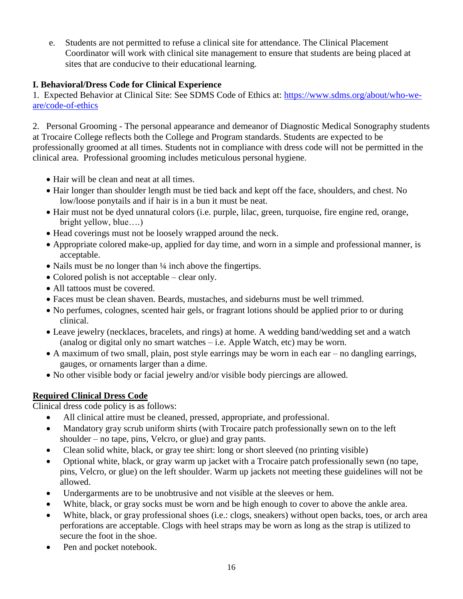e. Students are not permitted to refuse a clinical site for attendance. The Clinical Placement Coordinator will work with clinical site management to ensure that students are being placed at sites that are conducive to their educational learning.

#### **I. Behavioral/Dress Code for Clinical Experience**

1. Expected Behavior at Clinical Site: See SDMS Code of Ethics at: [https://www.sdms.org/about/who-we](https://www.sdms.org/about/who-we-are/code-of-ethics)[are/code-of-ethics](https://www.sdms.org/about/who-we-are/code-of-ethics)

2. Personal Grooming - The personal appearance and demeanor of Diagnostic Medical Sonography students at Trocaire College reflects both the College and Program standards. Students are expected to be professionally groomed at all times. Students not in compliance with dress code will not be permitted in the clinical area. Professional grooming includes meticulous personal hygiene.

- Hair will be clean and neat at all times.
- Hair longer than shoulder length must be tied back and kept off the face, shoulders, and chest. No low/loose ponytails and if hair is in a bun it must be neat.
- Hair must not be dyed unnatural colors (i.e. purple, lilac, green, turquoise, fire engine red, orange, bright yellow, blue….)
- Head coverings must not be loosely wrapped around the neck.
- Appropriate colored make-up, applied for day time, and worn in a simple and professional manner, is acceptable.
- Nails must be no longer than  $\frac{1}{4}$  inch above the fingertips.
- Colored polish is not acceptable clear only.
- All tattoos must be covered.
- Faces must be clean shaven. Beards, mustaches, and sideburns must be well trimmed.
- No perfumes, colognes, scented hair gels, or fragrant lotions should be applied prior to or during clinical.
- Leave jewelry (necklaces, bracelets, and rings) at home. A wedding band/wedding set and a watch (analog or digital only no smart watches – i.e. Apple Watch, etc) may be worn.
- A maximum of two small, plain, post style earrings may be worn in each ear no dangling earrings, gauges, or ornaments larger than a dime.
- No other visible body or facial jewelry and/or visible body piercings are allowed.

#### **Required Clinical Dress Code**

Clinical dress code policy is as follows:

- All clinical attire must be cleaned, pressed, appropriate, and professional.
- Mandatory gray scrub uniform shirts (with Trocaire patch professionally sewn on to the left shoulder – no tape, pins, Velcro, or glue) and gray pants.
- Clean solid white, black, or gray tee shirt: long or short sleeved (no printing visible)
- Optional white, black, or gray warm up jacket with a Trocaire patch professionally sewn (no tape, pins, Velcro, or glue) on the left shoulder. Warm up jackets not meeting these guidelines will not be allowed.
- Undergarments are to be unobtrusive and not visible at the sleeves or hem.
- White, black, or gray socks must be worn and be high enough to cover to above the ankle area.
- White, black, or gray professional shoes (i.e.: clogs, sneakers) without open backs, toes, or arch area perforations are acceptable. Clogs with heel straps may be worn as long as the strap is utilized to secure the foot in the shoe.
- Pen and pocket notebook.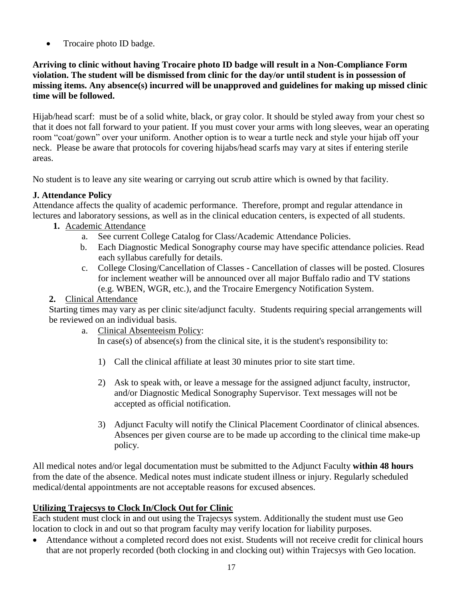• Trocaire photo ID badge.

#### **Arriving to clinic without having Trocaire photo ID badge will result in a Non-Compliance Form violation. The student will be dismissed from clinic for the day/or until student is in possession of missing items. Any absence(s) incurred will be unapproved and guidelines for making up missed clinic time will be followed.**

Hijab/head scarf: must be of a solid white, black, or gray color. It should be styled away from your chest so that it does not fall forward to your patient. If you must cover your arms with long sleeves, wear an operating room "coat/gown" over your uniform. Another option is to wear a turtle neck and style your hijab off your neck. Please be aware that protocols for covering hijabs/head scarfs may vary at sites if entering sterile areas.

No student is to leave any site wearing or carrying out scrub attire which is owned by that facility.

#### **J. Attendance Policy**

Attendance affects the quality of academic performance. Therefore, prompt and regular attendance in lectures and laboratory sessions, as well as in the clinical education centers, is expected of all students.

- **1.** Academic Attendance
	- a. See current College Catalog for Class/Academic Attendance Policies.
	- b. Each Diagnostic Medical Sonography course may have specific attendance policies. Read each syllabus carefully for details.
	- c. College Closing/Cancellation of Classes Cancellation of classes will be posted. Closures for inclement weather will be announced over all major Buffalo radio and TV stations (e.g. WBEN, WGR, etc.), and the Trocaire Emergency Notification System.

#### **2.** Clinical Attendance

Starting times may vary as per clinic site/adjunct faculty. Students requiring special arrangements will be reviewed on an individual basis.

a. Clinical Absenteeism Policy:

In case(s) of absence(s) from the clinical site, it is the student's responsibility to:

- 1) Call the clinical affiliate at least 30 minutes prior to site start time.
- 2) Ask to speak with, or leave a message for the assigned adjunct faculty, instructor, and/or Diagnostic Medical Sonography Supervisor. Text messages will not be accepted as official notification.
- 3) Adjunct Faculty will notify the Clinical Placement Coordinator of clinical absences. Absences per given course are to be made up according to the clinical time make-up policy.

All medical notes and/or legal documentation must be submitted to the Adjunct Faculty **within 48 hours** from the date of the absence. Medical notes must indicate student illness or injury. Regularly scheduled medical/dental appointments are not acceptable reasons for excused absences.

#### **Utilizing Trajecsys to Clock In/Clock Out for Clinic**

Each student must clock in and out using the Trajecsys system. Additionally the student must use Geo location to clock in and out so that program faculty may verify location for liability purposes.

 Attendance without a completed record does not exist. Students will not receive credit for clinical hours that are not properly recorded (both clocking in and clocking out) within Trajecsys with Geo location.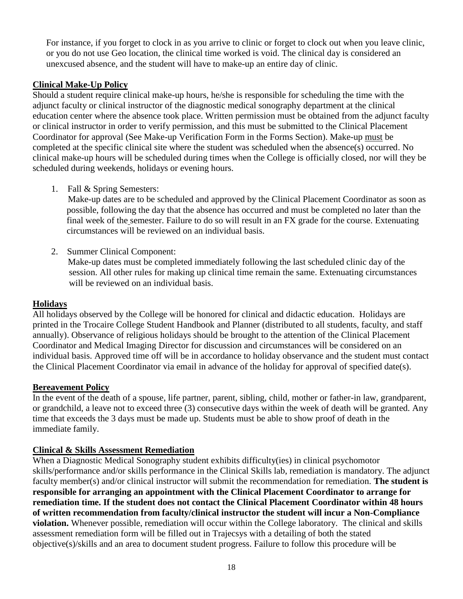For instance, if you forget to clock in as you arrive to clinic or forget to clock out when you leave clinic, or you do not use Geo location, the clinical time worked is void. The clinical day is considered an unexcused absence, and the student will have to make-up an entire day of clinic.

#### **Clinical Make-Up Policy**

Should a student require clinical make-up hours, he/she is responsible for scheduling the time with the adjunct faculty or clinical instructor of the diagnostic medical sonography department at the clinical education center where the absence took place. Written permission must be obtained from the adjunct faculty or clinical instructor in order to verify permission, and this must be submitted to the Clinical Placement Coordinator for approval (See Make-up Verification Form in the Forms Section). Make-up must be completed at the specific clinical site where the student was scheduled when the absence(s) occurred. No clinical make-up hours will be scheduled during times when the College is officially closed, nor will they be scheduled during weekends, holidays or evening hours.

1. Fall & Spring Semesters:

 Make-up dates are to be scheduled and approved by the Clinical Placement Coordinator as soon as possible, following the day that the absence has occurred and must be completed no later than the final week of the semester. Failure to do so will result in an FX grade for the course. Extenuating circumstances will be reviewed on an individual basis.

2. Summer Clinical Component:

 Make-up dates must be completed immediately following the last scheduled clinic day of the session. All other rules for making up clinical time remain the same. Extenuating circumstances will be reviewed on an individual basis.

#### **Holidays**

All holidays observed by the College will be honored for clinical and didactic education. Holidays are printed in the Trocaire College Student Handbook and Planner (distributed to all students, faculty, and staff annually). Observance of religious holidays should be brought to the attention of the Clinical Placement Coordinator and Medical Imaging Director for discussion and circumstances will be considered on an individual basis. Approved time off will be in accordance to holiday observance and the student must contact the Clinical Placement Coordinator via email in advance of the holiday for approval of specified date(s).

#### **Bereavement Policy**

In the event of the death of a spouse, life partner, parent, sibling, child, mother or father-in law, grandparent, or grandchild, a leave not to exceed three (3) consecutive days within the week of death will be granted. Any time that exceeds the 3 days must be made up. Students must be able to show proof of death in the immediate family.

#### **Clinical & Skills Assessment Remediation**

When a Diagnostic Medical Sonography student exhibits difficulty(ies) in clinical psychomotor skills/performance and/or skills performance in the Clinical Skills lab, remediation is mandatory. The adjunct faculty member(s) and/or clinical instructor will submit the recommendation for remediation. **The student is responsible for arranging an appointment with the Clinical Placement Coordinator to arrange for remediation time. If the student does not contact the Clinical Placement Coordinator within 48 hours of written recommendation from faculty/clinical instructor the student will incur a Non-Compliance violation.** Whenever possible, remediation will occur within the College laboratory. The clinical and skills assessment remediation form will be filled out in Trajecsys with a detailing of both the stated objective(s)/skills and an area to document student progress. Failure to follow this procedure will be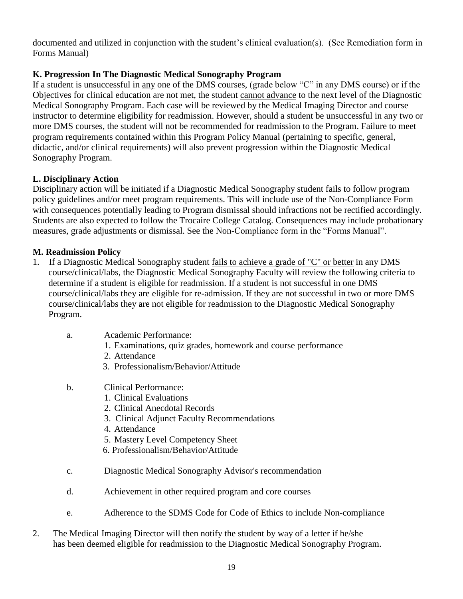documented and utilized in conjunction with the student's clinical evaluation(s). (See Remediation form in Forms Manual)

#### **K. Progression In The Diagnostic Medical Sonography Program**

If a student is unsuccessful in any one of the DMS courses, (grade below "C" in any DMS course) or if the Objectives for clinical education are not met, the student cannot advance to the next level of the Diagnostic Medical Sonography Program. Each case will be reviewed by the Medical Imaging Director and course instructor to determine eligibility for readmission. However, should a student be unsuccessful in any two or more DMS courses, the student will not be recommended for readmission to the Program. Failure to meet program requirements contained within this Program Policy Manual (pertaining to specific, general, didactic, and/or clinical requirements) will also prevent progression within the Diagnostic Medical Sonography Program.

#### **L. Disciplinary Action**

Disciplinary action will be initiated if a Diagnostic Medical Sonography student fails to follow program policy guidelines and/or meet program requirements. This will include use of the Non-Compliance Form with consequences potentially leading to Program dismissal should infractions not be rectified accordingly. Students are also expected to follow the Trocaire College Catalog. Consequences may include probationary measures, grade adjustments or dismissal. See the Non-Compliance form in the "Forms Manual".

#### **M. Readmission Policy**

- 1. If a Diagnostic Medical Sonography student fails to achieve a grade of "C" or better in any DMS course/clinical/labs, the Diagnostic Medical Sonography Faculty will review the following criteria to determine if a student is eligible for readmission. If a student is not successful in one DMS course/clinical/labs they are eligible for re-admission. If they are not successful in two or more DMS course/clinical/labs they are not eligible for readmission to the Diagnostic Medical Sonography Program.
	- a. Academic Performance:
		- 1. Examinations, quiz grades, homework and course performance
		- 2. Attendance
		- 3. Professionalism/Behavior/Attitude
	- b. Clinical Performance:
		- 1. Clinical Evaluations
		- 2. Clinical Anecdotal Records
		- 3. Clinical Adjunct Faculty Recommendations
		- 4. Attendance
		- 5. Mastery Level Competency Sheet
		- 6. Professionalism/Behavior/Attitude
	- c. Diagnostic Medical Sonography Advisor's recommendation
	- d. Achievement in other required program and core courses
	- e. Adherence to the SDMS Code for Code of Ethics to include Non-compliance
- 2. The Medical Imaging Director will then notify the student by way of a letter if he/she has been deemed eligible for readmission to the Diagnostic Medical Sonography Program.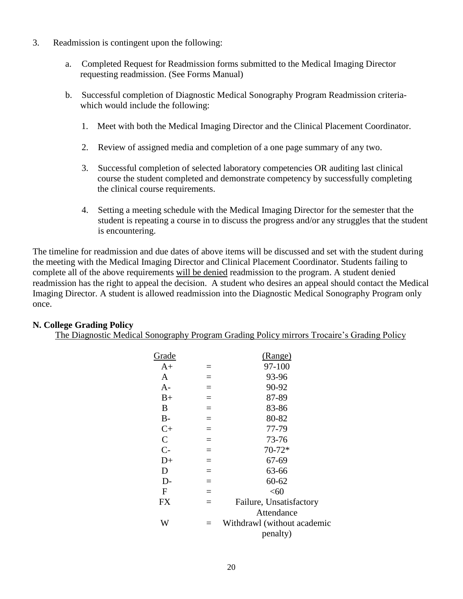- 3. Readmission is contingent upon the following:
	- a. Completed Request for Readmission forms submitted to the Medical Imaging Director requesting readmission. (See Forms Manual)
	- b. Successful completion of Diagnostic Medical Sonography Program Readmission criteria which would include the following:
		- 1. Meet with both the Medical Imaging Director and the Clinical Placement Coordinator.
		- 2. Review of assigned media and completion of a one page summary of any two.
		- 3. Successful completion of selected laboratory competencies OR auditing last clinical course the student completed and demonstrate competency by successfully completing the clinical course requirements.
		- 4. Setting a meeting schedule with the Medical Imaging Director for the semester that the student is repeating a course in to discuss the progress and/or any struggles that the student is encountering.

The timeline for readmission and due dates of above items will be discussed and set with the student during the meeting with the Medical Imaging Director and Clinical Placement Coordinator. Students failing to complete all of the above requirements will be denied readmission to the program. A student denied readmission has the right to appeal the decision. A student who desires an appeal should contact the Medical Imaging Director. A student is allowed readmission into the Diagnostic Medical Sonography Program only once.

#### **N. College Grading Policy**

The Diagnostic Medical Sonography Program Grading Policy mirrors Trocaire's Grading Policy

| Grade       |                   | (Range)                     |
|-------------|-------------------|-----------------------------|
| $A+$        | $=$               | 97-100                      |
| A           | $=$               | 93-96                       |
| $A -$       | $=$               | 90-92                       |
| $B+$        | $=$               | 87-89                       |
| B           | $=$               | 83-86                       |
| $B-$        | $=$               | 80-82                       |
| $C+$        | $=$               | 77-79                       |
| $\mathbf C$ | $=$               | 73-76                       |
| $C-$        | $=$               | $70 - 72*$                  |
| $D+$        | $=$               | 67-69                       |
| D           | $=$               | 63-66                       |
| D-          | $=$               | $60 - 62$                   |
| F           | $=$               | $<$ 60                      |
| <b>FX</b>   | $\qquad \qquad -$ | Failure, Unsatisfactory     |
|             |                   | Attendance                  |
| W           |                   | Withdrawl (without academic |
|             |                   | penalty)                    |
|             |                   |                             |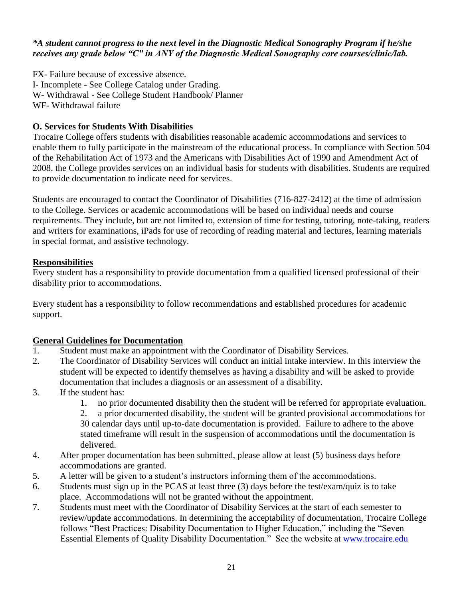#### *\*A student cannot progress to the next level in the Diagnostic Medical Sonography Program if he/she receives any grade below "C" in ANY of the Diagnostic Medical Sonography core courses/clinic/lab.*

FX- Failure because of excessive absence. I- Incomplete - See College Catalog under Grading. W- Withdrawal - See College Student Handbook/ Planner WF- Withdrawal failure

#### **O. Services for Students With Disabilities**

Trocaire College offers students with disabilities reasonable academic accommodations and services to enable them to fully participate in the mainstream of the educational process. In compliance with Section 504 of the Rehabilitation Act of 1973 and the Americans with Disabilities Act of 1990 and Amendment Act of 2008, the College provides services on an individual basis for students with disabilities. Students are required to provide documentation to indicate need for services.

Students are encouraged to contact the Coordinator of Disabilities (716-827-2412) at the time of admission to the College. Services or academic accommodations will be based on individual needs and course requirements. They include, but are not limited to, extension of time for testing, tutoring, note-taking, readers and writers for examinations, iPads for use of recording of reading material and lectures, learning materials in special format, and assistive technology.

#### **Responsibilities**

Every student has a responsibility to provide documentation from a qualified licensed professional of their disability prior to accommodations.

Every student has a responsibility to follow recommendations and established procedures for academic support.

#### **General Guidelines for Documentation**

- 1. Student must make an appointment with the Coordinator of Disability Services.
- 2. The Coordinator of Disability Services will conduct an initial intake interview. In this interview the student will be expected to identify themselves as having a disability and will be asked to provide documentation that includes a diagnosis or an assessment of a disability.
- 3. If the student has:
	- 1. no prior documented disability then the student will be referred for appropriate evaluation.
	- 2. a prior documented disability, the student will be granted provisional accommodations for 30 calendar days until up-to-date documentation is provided. Failure to adhere to the above stated timeframe will result in the suspension of accommodations until the documentation is delivered.
- 4. After proper documentation has been submitted, please allow at least (5) business days before accommodations are granted.
- 5. A letter will be given to a student's instructors informing them of the accommodations.
- 6. Students must sign up in the PCAS at least three (3) days before the test/exam/quiz is to take place. Accommodations will not be granted without the appointment.
- 7. Students must meet with the Coordinator of Disability Services at the start of each semester to review/update accommodations. In determining the acceptability of documentation, Trocaire College follows "Best Practices: Disability Documentation to Higher Education," including the "Seven Essential Elements of Quality Disability Documentation." See the website at [www.trocaire.edu](http://www.trocaire.edu/)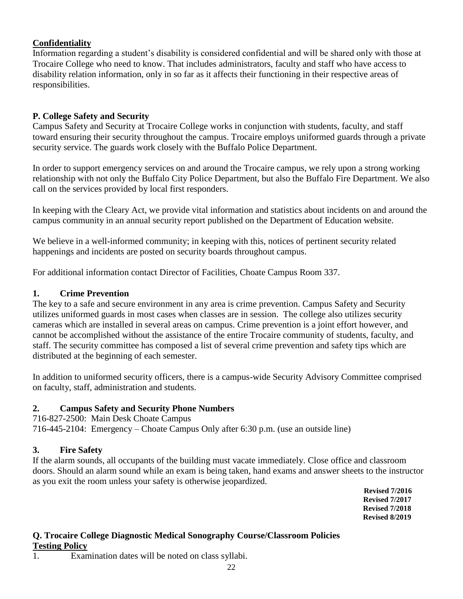#### **Confidentiality**

Information regarding a student's disability is considered confidential and will be shared only with those at Trocaire College who need to know. That includes administrators, faculty and staff who have access to disability relation information, only in so far as it affects their functioning in their respective areas of responsibilities.

#### **P. College Safety and Security**

Campus Safety and Security at Trocaire College works in conjunction with students, faculty, and staff toward ensuring their security throughout the campus. Trocaire employs uniformed guards through a private security service. The guards work closely with the Buffalo Police Department.

In order to support emergency services on and around the Trocaire campus, we rely upon a strong working relationship with not only the Buffalo City Police Department, but also the Buffalo Fire Department. We also call on the services provided by local first responders.

In keeping with the Cleary Act, we provide vital information and statistics about incidents on and around the campus community in an annual security report published on the Department of Education website.

We believe in a well-informed community; in keeping with this, notices of pertinent security related happenings and incidents are posted on security boards throughout campus.

For additional information contact Director of Facilities, Choate Campus Room 337.

#### **1. Crime Prevention**

The key to a safe and secure environment in any area is crime prevention. Campus Safety and Security utilizes uniformed guards in most cases when classes are in session. The college also utilizes security cameras which are installed in several areas on campus. Crime prevention is a joint effort however, and cannot be accomplished without the assistance of the entire Trocaire community of students, faculty, and staff. The security committee has composed a list of several crime prevention and safety tips which are distributed at the beginning of each semester.

In addition to uniformed security officers, there is a campus-wide Security Advisory Committee comprised on faculty, staff, administration and students.

#### **2. Campus Safety and Security Phone Numbers**

716-827-2500: Main Desk Choate Campus 716-445-2104: Emergency – Choate Campus Only after 6:30 p.m. (use an outside line)

#### **3. Fire Safety**

If the alarm sounds, all occupants of the building must vacate immediately. Close office and classroom doors. Should an alarm sound while an exam is being taken, hand exams and answer sheets to the instructor as you exit the room unless your safety is otherwise jeopardized.

 **Revised 7/2016 Revised 7/2017 Revised 7/2018 Revised 8/2019**

#### **Q. Trocaire College Diagnostic Medical Sonography Course/Classroom Policies Testing Policy**

1. Examination dates will be noted on class syllabi.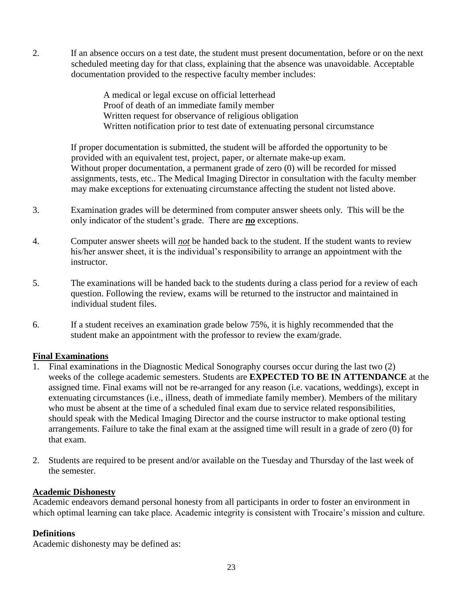2. If an absence occurs on a test date, the student must present documentation, before or on the next scheduled meeting day for that class, explaining that the absence was unavoidable. Acceptable documentation provided to the respective faculty member includes:

> A medical or legal excuse on official letterhead Proof of death of an immediate family member Written request for observance of religious obligation Written notification prior to test date of extenuating personal circumstance

If proper documentation is submitted, the student will be afforded the opportunity to be provided with an equivalent test, project, paper, or alternate make-up exam. Without proper documentation, a permanent grade of zero (0) will be recorded for missed assignments, tests, etc.. The Medical Imaging Director in consultation with the faculty member may make exceptions for extenuating circumstance affecting the student not listed above.

- 3. Examination grades will be determined from computer answer sheets only. This will be the only indicator of the student's grade. There are *no* exceptions.
- 4. Computer answer sheets will *not* be handed back to the student. If the student wants to review his/her answer sheet, it is the individual's responsibility to arrange an appointment with the instructor.
- 5. The examinations will be handed back to the students during a class period for a review of each question. Following the review, exams will be returned to the instructor and maintained in individual student files.
- 6. If a student receives an examination grade below 75%, it is highly recommended that the student make an appointment with the professor to review the exam/grade.

#### **Final Examinations**

- 1. Final examinations in the Diagnostic Medical Sonography courses occur during the last two (2) weeks of the college academic semesters. Students are **EXPECTED TO BE IN ATTENDANCE** at the assigned time. Final exams will not be re-arranged for any reason (i.e. vacations, weddings), except in extenuating circumstances (i.e., illness, death of immediate family member). Members of the military who must be absent at the time of a scheduled final exam due to service related responsibilities, should speak with the Medical Imaging Director and the course instructor to make optional testing arrangements. Failure to take the final exam at the assigned time will result in a grade of zero (0) for that exam.
- 2. Students are required to be present and/or available on the Tuesday and Thursday of the last week of the semester.

#### **Academic Dishonesty**

Academic endeavors demand personal honesty from all participants in order to foster an environment in which optimal learning can take place. Academic integrity is consistent with Trocaire's mission and culture.

#### **Definitions**

Academic dishonesty may be defined as: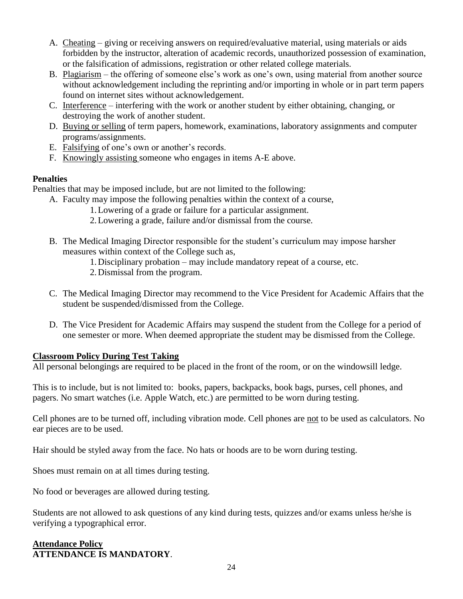- A. Cheating giving or receiving answers on required/evaluative material, using materials or aids forbidden by the instructor, alteration of academic records, unauthorized possession of examination, or the falsification of admissions, registration or other related college materials.
- B. Plagiarism the offering of someone else's work as one's own, using material from another source without acknowledgement including the reprinting and/or importing in whole or in part term papers found on internet sites without acknowledgement.
- C. Interference interfering with the work or another student by either obtaining, changing, or destroying the work of another student.
- D. Buying or selling of term papers, homework, examinations, laboratory assignments and computer programs/assignments.
- E. Falsifying of one's own or another's records.
- F. Knowingly assisting someone who engages in items A-E above.

#### **Penalties**

Penalties that may be imposed include, but are not limited to the following:

- A. Faculty may impose the following penalties within the context of a course,
	- 1.Lowering of a grade or failure for a particular assignment.
	- 2.Lowering a grade, failure and/or dismissal from the course.
- B. The Medical Imaging Director responsible for the student's curriculum may impose harsher measures within context of the College such as,
	- 1.Disciplinary probation may include mandatory repeat of a course, etc.
	- 2.Dismissal from the program.
- C. The Medical Imaging Director may recommend to the Vice President for Academic Affairs that the student be suspended/dismissed from the College.
- D. The Vice President for Academic Affairs may suspend the student from the College for a period of one semester or more. When deemed appropriate the student may be dismissed from the College.

#### **Classroom Policy During Test Taking**

All personal belongings are required to be placed in the front of the room, or on the windowsill ledge.

This is to include, but is not limited to: books, papers, backpacks, book bags, purses, cell phones, and pagers. No smart watches (i.e. Apple Watch, etc.) are permitted to be worn during testing.

Cell phones are to be turned off, including vibration mode. Cell phones are not to be used as calculators. No ear pieces are to be used.

Hair should be styled away from the face. No hats or hoods are to be worn during testing.

Shoes must remain on at all times during testing.

No food or beverages are allowed during testing.

Students are not allowed to ask questions of any kind during tests, quizzes and/or exams unless he/she is verifying a typographical error.

#### **Attendance Policy ATTENDANCE IS MANDATORY**.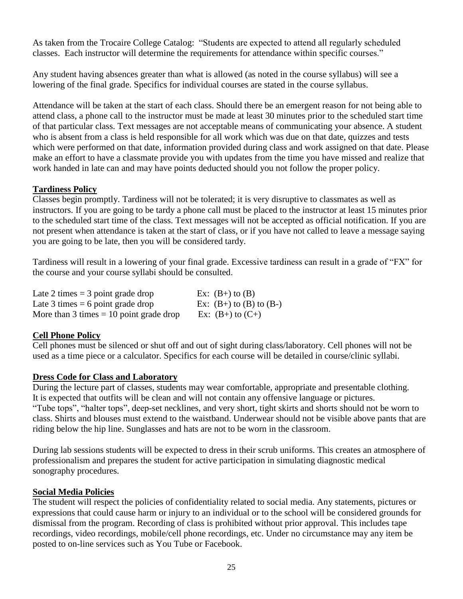As taken from the Trocaire College Catalog: "Students are expected to attend all regularly scheduled classes. Each instructor will determine the requirements for attendance within specific courses."

Any student having absences greater than what is allowed (as noted in the course syllabus) will see a lowering of the final grade. Specifics for individual courses are stated in the course syllabus.

Attendance will be taken at the start of each class. Should there be an emergent reason for not being able to attend class, a phone call to the instructor must be made at least 30 minutes prior to the scheduled start time of that particular class. Text messages are not acceptable means of communicating your absence. A student who is absent from a class is held responsible for all work which was due on that date, quizzes and tests which were performed on that date, information provided during class and work assigned on that date. Please make an effort to have a classmate provide you with updates from the time you have missed and realize that work handed in late can and may have points deducted should you not follow the proper policy.

#### **Tardiness Policy**

Classes begin promptly. Tardiness will not be tolerated; it is very disruptive to classmates as well as instructors. If you are going to be tardy a phone call must be placed to the instructor at least 15 minutes prior to the scheduled start time of the class. Text messages will not be accepted as official notification. If you are not present when attendance is taken at the start of class, or if you have not called to leave a message saying you are going to be late, then you will be considered tardy.

Tardiness will result in a lowering of your final grade. Excessive tardiness can result in a grade of "FX" for the course and your course syllabi should be consulted.

| Late 2 times $=$ 3 point grade drop       | Ex: $(B+)$ to $(B)$           |
|-------------------------------------------|-------------------------------|
| Late 3 times $= 6$ point grade drop       | Ex: $(B+)$ to $(B)$ to $(B-)$ |
| More than 3 times $= 10$ point grade drop | Ex: $(B+)$ to $(C+)$          |

#### **Cell Phone Policy**

Cell phones must be silenced or shut off and out of sight during class/laboratory. Cell phones will not be used as a time piece or a calculator. Specifics for each course will be detailed in course/clinic syllabi.

#### **Dress Code for Class and Laboratory**

During the lecture part of classes, students may wear comfortable, appropriate and presentable clothing. It is expected that outfits will be clean and will not contain any offensive language or pictures. "Tube tops", "halter tops", deep-set necklines, and very short, tight skirts and shorts should not be worn to class. Shirts and blouses must extend to the waistband. Underwear should not be visible above pants that are riding below the hip line. Sunglasses and hats are not to be worn in the classroom.

During lab sessions students will be expected to dress in their scrub uniforms. This creates an atmosphere of professionalism and prepares the student for active participation in simulating diagnostic medical sonography procedures.

#### **Social Media Policies**

The student will respect the policies of confidentiality related to social media. Any statements, pictures or expressions that could cause harm or injury to an individual or to the school will be considered grounds for dismissal from the program. Recording of class is prohibited without prior approval. This includes tape recordings, video recordings, mobile/cell phone recordings, etc. Under no circumstance may any item be posted to on-line services such as You Tube or Facebook.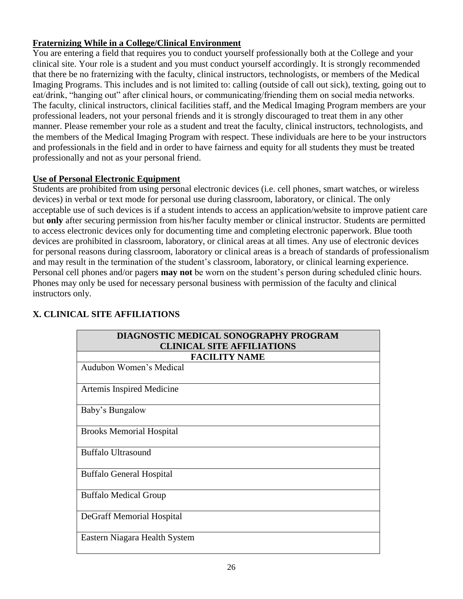#### **Fraternizing While in a College/Clinical Environment**

You are entering a field that requires you to conduct yourself professionally both at the College and your clinical site. Your role is a student and you must conduct yourself accordingly. It is strongly recommended that there be no fraternizing with the faculty, clinical instructors, technologists, or members of the Medical Imaging Programs. This includes and is not limited to: calling (outside of call out sick), texting, going out to eat/drink, "hanging out" after clinical hours, or communicating/friending them on social media networks. The faculty, clinical instructors, clinical facilities staff, and the Medical Imaging Program members are your professional leaders, not your personal friends and it is strongly discouraged to treat them in any other manner. Please remember your role as a student and treat the faculty, clinical instructors, technologists, and the members of the Medical Imaging Program with respect. These individuals are here to be your instructors and professionals in the field and in order to have fairness and equity for all students they must be treated professionally and not as your personal friend.

#### **Use of Personal Electronic Equipment**

Students are prohibited from using personal electronic devices (i.e. cell phones, smart watches, or wireless devices) in verbal or text mode for personal use during classroom, laboratory, or clinical. The only acceptable use of such devices is if a student intends to access an application/website to improve patient care but **only** after securing permission from his/her faculty member or clinical instructor. Students are permitted to access electronic devices only for documenting time and completing electronic paperwork. Blue tooth devices are prohibited in classroom, laboratory, or clinical areas at all times. Any use of electronic devices for personal reasons during classroom, laboratory or clinical areas is a breach of standards of professionalism and may result in the termination of the student's classroom, laboratory, or clinical learning experience. Personal cell phones and/or pagers **may not** be worn on the student's person during scheduled clinic hours. Phones may only be used for necessary personal business with permission of the faculty and clinical instructors only.

| DIAGNOSTIC MEDICAL SONOGRAPHY PROGRAM |  |  |
|---------------------------------------|--|--|
| <b>CLINICAL SITE AFFILIATIONS</b>     |  |  |
| <b>FACILITY NAME</b>                  |  |  |
| Audubon Women's Medical               |  |  |
| Artemis Inspired Medicine             |  |  |
| Baby's Bungalow                       |  |  |
| <b>Brooks Memorial Hospital</b>       |  |  |
| <b>Buffalo Ultrasound</b>             |  |  |
| <b>Buffalo General Hospital</b>       |  |  |
| <b>Buffalo Medical Group</b>          |  |  |
| DeGraff Memorial Hospital             |  |  |
| Eastern Niagara Health System         |  |  |

#### **X. CLINICAL SITE AFFILIATIONS**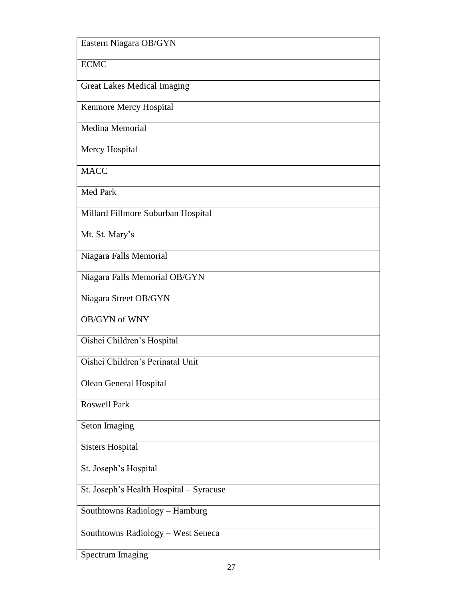| Eastern Niagara OB/GYN                  |
|-----------------------------------------|
| <b>ECMC</b>                             |
| <b>Great Lakes Medical Imaging</b>      |
| Kenmore Mercy Hospital                  |
| Medina Memorial                         |
| Mercy Hospital                          |
| <b>MACC</b>                             |
| <b>Med Park</b>                         |
| Millard Fillmore Suburban Hospital      |
| Mt. St. Mary's                          |
| Niagara Falls Memorial                  |
| Niagara Falls Memorial OB/GYN           |
| Niagara Street OB/GYN                   |
| <b>OB/GYN</b> of WNY                    |
| Oishei Children's Hospital              |
| Oishei Children's Perinatal Unit        |
| <b>Olean General Hospital</b>           |
| <b>Roswell Park</b>                     |
| Seton Imaging                           |
| <b>Sisters Hospital</b>                 |
| St. Joseph's Hospital                   |
| St. Joseph's Health Hospital - Syracuse |
| Southtowns Radiology - Hamburg          |
| Southtowns Radiology - West Seneca      |
| <b>Spectrum Imaging</b>                 |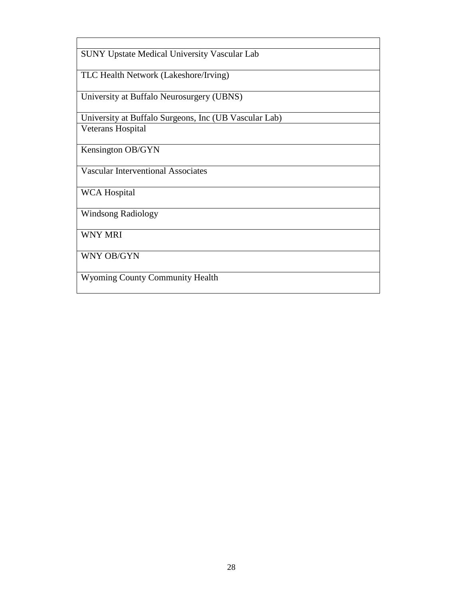| <b>SUNY Upstate Medical University Vascular Lab</b>   |
|-------------------------------------------------------|
| TLC Health Network (Lakeshore/Irving)                 |
| University at Buffalo Neurosurgery (UBNS)             |
| University at Buffalo Surgeons, Inc (UB Vascular Lab) |
| Veterans Hospital                                     |
| Kensington OB/GYN                                     |
| <b>Vascular Interventional Associates</b>             |
| <b>WCA Hospital</b>                                   |
| <b>Windsong Radiology</b>                             |
| <b>WNY MRI</b>                                        |
| WNY OB/GYN                                            |
| <b>Wyoming County Community Health</b>                |